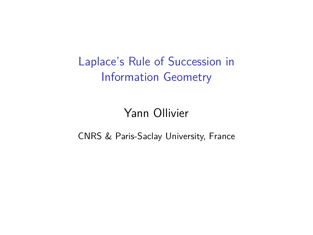Laplace's Rule of Succession in Information Geometry

# Yann Ollivier

CNRS & Paris-Saclay University, France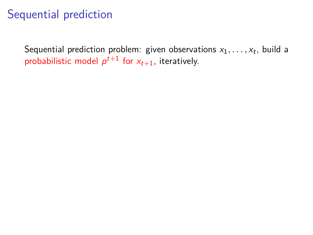Sequential prediction problem: given observations  $x_1, \ldots, x_t$ , build a probabilistic model  $p^{t+1}$  for  $x_{t+1}$ , iteratively.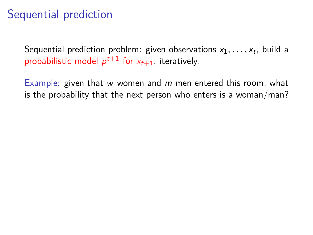Sequential prediction problem: given observations  $x_1, \ldots, x_t$ , build a probabilistic model  $p^{t+1}$  for  $x_{t+1}$ , iteratively.

Example: given that w women and  $m$  men entered this room, what is the probability that the next person who enters is a woman/man?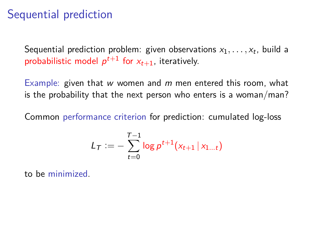Sequential prediction problem: given observations  $x_1, \ldots, x_t$ , build a probabilistic model  $p^{t+1}$  for  $x_{t+1}$ , iteratively.

Example: given that w women and  $m$  men entered this room, what is the probability that the next person who enters is a woman/man?

Common performance criterion for prediction: cumulated log-loss

$$
L_T := -\sum_{t=0}^{T-1} \log p^{t+1}(x_{t+1} | x_{1...t})
$$

to be minimized.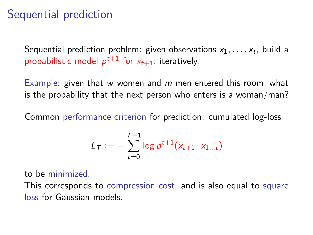Sequential prediction problem: given observations  $x_1, \ldots, x_t$ , build a probabilistic model  $p^{t+1}$  for  $x_{t+1}$ , iteratively.

Example: given that w women and  $m$  men entered this room, what is the probability that the next person who enters is a woman/man?

Common performance criterion for prediction: cumulated log-loss

$$
L_T := -\sum_{t=0}^{T-1} \log p^{t+1}(x_{t+1} | x_{1...t})
$$

to be minimized.

This corresponds to compression cost, and is also equal to square loss for Gaussian models.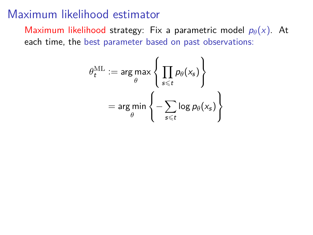Maximum likelihood strategy: Fix a parametric model  $p_{\theta}(x)$ . At each time, the best parameter based on past observations:

$$
\theta_t^{\text{ML}} := \arg \max_{\theta} \left\{ \prod_{s \leq t} p_{\theta}(x_s) \right\}
$$

$$
= \arg \min_{\theta} \left\{ - \sum_{s \leq t} \log p_{\theta}(x_s) \right\}
$$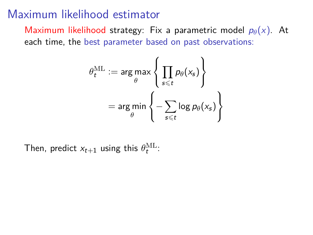Maximum likelihood strategy: Fix a parametric model  $p_{\theta}(x)$ . At each time, the best parameter based on past observations:

$$
\theta_t^{\text{ML}} := \arg \max_{\theta} \left\{ \prod_{s \leq t} p_{\theta}(x_s) \right\}
$$

$$
= \arg \min_{\theta} \left\{ -\sum_{s \leq t} \log p_{\theta}(x_s) \right\}
$$

Then, predict  $x_{t+1}$  using this  $\theta_t^{\text{ML}}$ :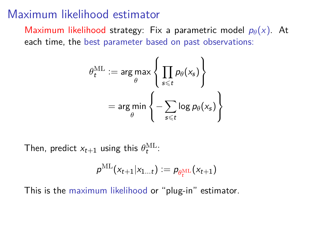Maximum likelihood strategy: Fix a parametric model  $p_{\theta}(x)$ . At each time, the best parameter based on past observations:

$$
\theta_t^{\text{ML}} := \arg \max_{\theta} \left\{ \prod_{s \leq t} p_{\theta}(x_s) \right\}
$$

$$
= \arg \min_{\theta} \left\{ - \sum_{s \leq t} \log p_{\theta}(x_s) \right\}
$$

Then, predict  $x_{t+1}$  using this  $\theta_t^{\text{ML}}$ :

$$
\rho^{\mathrm{ML}}(x_{t+1}|x_{1...t}) \vcentcolon= \rho_{\theta^{\mathrm{ML}}_t}(x_{t+1})
$$

This is the maximum likelihood or "plug-in" estimator.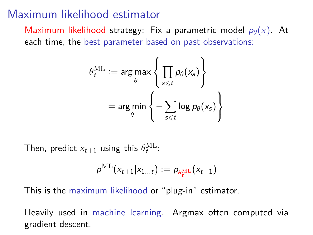Maximum likelihood strategy: Fix a parametric model  $p_{\theta}(x)$ . At each time, the best parameter based on past observations:

$$
\theta_t^{\text{ML}} := \arg \max_{\theta} \left\{ \prod_{s \leq t} p_{\theta}(x_s) \right\}
$$

$$
= \arg \min_{\theta} \left\{ -\sum_{s \leq t} \log p_{\theta}(x_s) \right\}
$$

Then, predict  $x_{t+1}$  using this  $\theta_t^{\text{ML}}$ :

$$
\rho^{\mathrm{ML}}(x_{t+1}|x_{1...t}) \vcentcolon= \rho_{\theta^{\mathrm{ML}}_t}(x_{t+1})
$$

This is the maximum likelihood or "plug-in" estimator.

Heavily used in machine learning. Argmax often computed via gradient descent.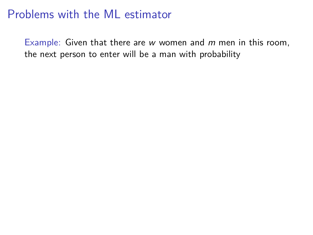Example: Given that there are  $w$  women and  $m$  men in this room, the next person to enter will be a man with probability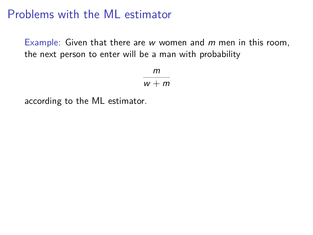Example: Given that there are  $w$  women and  $m$  men in this room, the next person to enter will be a man with probability

> m  $w + m$

according to the ML estimator.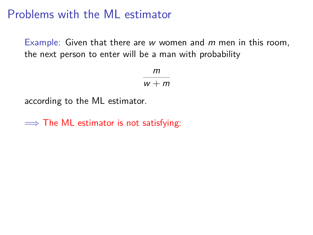Example: Given that there are  $w$  women and  $m$  men in this room, the next person to enter will be a man with probability

> m  $w + m$

according to the ML estimator.

 $\implies$  The ML estimator is not satisfying: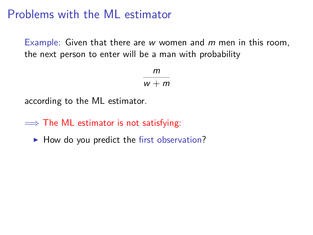Example: Given that there are  $w$  women and  $m$  men in this room, the next person to enter will be a man with probability

> m  $w + m$

according to the ML estimator.

 $\implies$  The ML estimator is not satisfying:

 $\blacktriangleright$  How do you predict the first observation?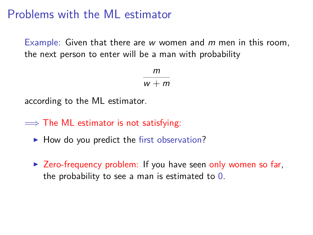Example: Given that there are  $w$  women and  $m$  men in this room, the next person to enter will be a man with probability

> m  $w + m$

according to the ML estimator.

 $\implies$  The ML estimator is not satisfying:

- $\blacktriangleright$  How do you predict the first observation?
- $\triangleright$  Zero-frequency problem: If you have seen only women so far, the probability to see a man is estimated to 0.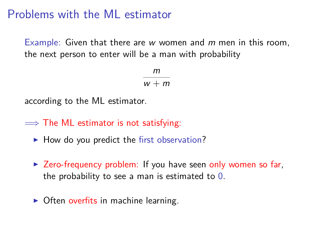Example: Given that there are  $w$  women and  $m$  men in this room, the next person to enter will be a man with probability

> m  $w + m$

according to the ML estimator.

 $\implies$  The ML estimator is not satisfying:

- $\blacktriangleright$  How do you predict the first observation?
- $\triangleright$  Zero-frequency problem: If you have seen only women so far, the probability to see a man is estimated to 0.
- $\triangleright$  Often overfits in machine learning.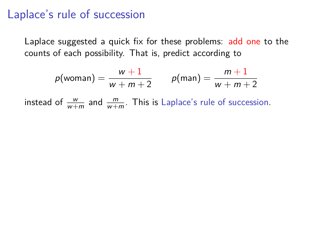Laplace suggested a quick fix for these problems: add one to the counts of each possibility. That is, predict according to

$$
p(\text{woman}) = \frac{w+1}{w+m+2} \qquad p(\text{man}) = \frac{m+1}{w+m+2}
$$

instead of  $\frac{w}{w+m}$  and  $\frac{m}{w+m}$ . This is Laplace's rule of succession.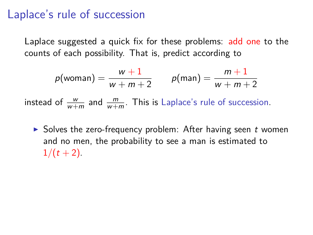Laplace suggested a quick fix for these problems: add one to the counts of each possibility. That is, predict according to

$$
p(\text{woman}) = \frac{w+1}{w+m+2} \qquad p(\text{man}) = \frac{m+1}{w+m+2}
$$

instead of  $\frac{w}{w+m}$  and  $\frac{m}{w+m}$ . This is Laplace's rule of succession.

 $\triangleright$  Solves the zero-frequency problem: After having seen t women and no men, the probability to see a man is estimated to  $1/(t+2)$ .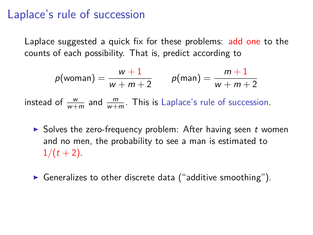Laplace suggested a quick fix for these problems: add one to the counts of each possibility. That is, predict according to

$$
p(\text{woman}) = \frac{w+1}{w+m+2} \qquad p(\text{man}) = \frac{m+1}{w+m+2}
$$

instead of  $\frac{w}{w+m}$  and  $\frac{m}{w+m}$ . This is Laplace's rule of succession.

- $\triangleright$  Solves the zero-frequency problem: After having seen t women and no men, the probability to see a man is estimated to  $1/(t+2)$ .
- Generalizes to other discrete data ("additive smoothing").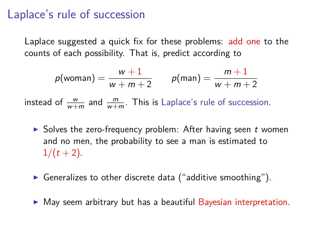Laplace suggested a quick fix for these problems: add one to the counts of each possibility. That is, predict according to

$$
p(\text{woman}) = \frac{w+1}{w+m+2} \qquad p(\text{man}) = \frac{m+1}{w+m+2}
$$

instead of  $\frac{w}{w+m}$  and  $\frac{m}{w+m}$ . This is Laplace's rule of succession.

- $\triangleright$  Solves the zero-frequency problem: After having seen t women and no men, the probability to see a man is estimated to  $1/(t+2)$ .
- Generalizes to other discrete data ("additive smoothing").
- $\triangleright$  May seem arbitrary but has a beautiful Bayesian interpretation.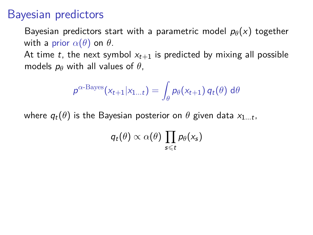### Bayesian predictors

Bayesian predictors start with a parametric model  $p_{\theta}(x)$  together with a prior  $\alpha(\theta)$  on  $\theta$ .

At time t, the next symbol  $x_{t+1}$  is predicted by mixing all possible models  $p_{\theta}$  with all values of  $\theta$ ,

$$
\rho^{\alpha\text{-Bayes}}(x_{t+1}|x_{1...t}) = \int_{\theta} p_{\theta}(x_{t+1}) q_t(\theta) d\theta
$$

where  $q_t(\theta)$  is the Bayesian posterior on  $\theta$  given data  $\mathsf{x}_{1...t}$ ,

 $q_t(\theta) \propto \alpha(\theta) \prod p_{\theta}(x_s)$  $s \leq t$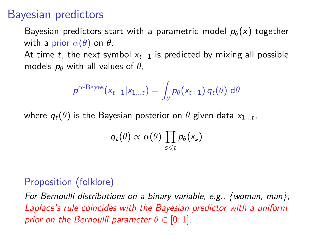### Bayesian predictors

Bayesian predictors start with a parametric model  $p_{\theta}(x)$  together with a prior  $\alpha(\theta)$  on  $\theta$ .

At time t, the next symbol  $x_{t+1}$  is predicted by mixing all possible models  $p_{\theta}$  with all values of  $\theta$ ,

$$
\rho^{\alpha\text{-Bayes}}(x_{t+1}|x_{1...t}) = \int_{\theta} p_{\theta}(x_{t+1}) q_t(\theta) d\theta
$$

where  $q_t(\theta)$  is the Bayesian posterior on  $\theta$  given data  $\mathsf{x}_{1...t}$ ,

$$
q_t(\theta) \propto \alpha(\theta) \prod_{s \leq t} p_\theta(\mathsf{x}_s)
$$

#### Proposition (folklore)

For Bernoulli distributions on a binary variable, e.g., {woman, man}, Laplace's rule coincides with the Bayesian predictor with a uniform prior on the Bernoulli parameter  $\theta \in [0,1]$ .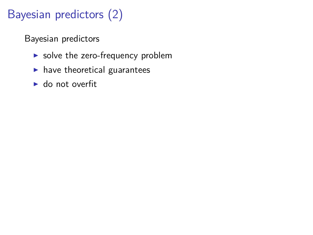# Bayesian predictors (2)

Bayesian predictors

- $\triangleright$  solve the zero-frequency problem
- $\blacktriangleright$  have theoretical guarantees
- $\blacktriangleright$  do not overfit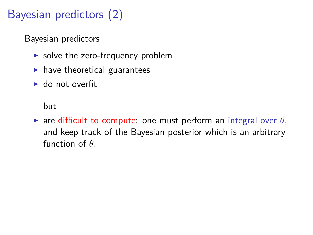# Bayesian predictors (2)

Bayesian predictors

- $\triangleright$  solve the zero-frequency problem
- $\blacktriangleright$  have theoretical guarantees
- $\blacktriangleright$  do not overfit

but

 $\triangleright$  are difficult to compute: one must perform an integral over  $\theta$ , and keep track of the Bayesian posterior which is an arbitrary function of  $\theta$ .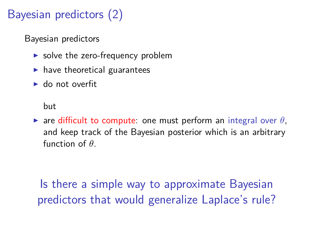# Bayesian predictors (2)

Bayesian predictors

- $\triangleright$  solve the zero-frequency problem
- $\blacktriangleright$  have theoretical guarantees
- $\blacktriangleright$  do not overfit

but

 $\triangleright$  are difficult to compute: one must perform an integral over  $\theta$ , and keep track of the Bayesian posterior which is an arbitrary function of  $\theta$ .

Is there a simple way to approximate Bayesian predictors that would generalize Laplace's rule?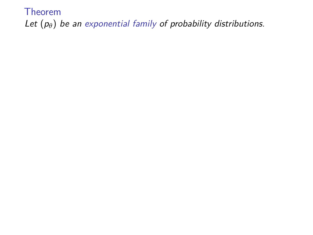Theorem Let  $(p_{\theta})$  be an exponential family of probability distributions.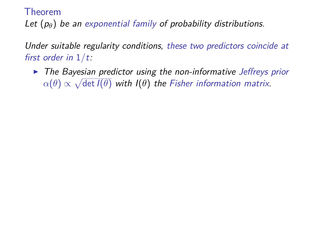Theorem

Let  $(p_{\theta})$  be an exponential family of probability distributions.

Under suitable regularity conditions, these two predictors coincide at first order in 1*/*t:

 $\triangleright$  The Bayesian predictor using the non-informative Jeffreys prior  $\alpha(\theta) \propto \sqrt{\det I(\theta)}$  with  $I(\theta)$  the Fisher information matrix.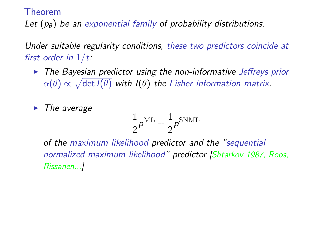Theorem

Let  $(p_{\theta})$  be an exponential family of probability distributions.

Under suitable regularity conditions, these two predictors coincide at first order in 1*/*t:

 $\triangleright$  The Bayesian predictor using the non-informative Jeffreys prior  $\alpha(\theta) \propto \sqrt{\det I(\theta)}$  with  $I(\theta)$  the Fisher information matrix.

 $\blacktriangleright$  The average

$$
\frac{1}{2}\rho^{\rm ML} + \frac{1}{2}\rho^{\rm SNML}
$$

of the maximum likelihood predictor and the "sequential normalized maximum likelihood" predictor [Shtarkov 1987, Roos, Rissanen...]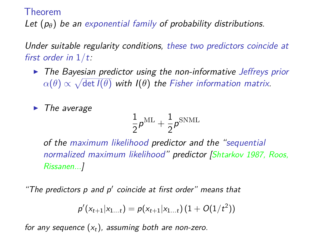Theorem

Let  $(p_{\theta})$  be an exponential family of probability distributions.

Under suitable regularity conditions, these two predictors coincide at first order in 1*/*t:

 $\triangleright$  The Bayesian predictor using the non-informative Jeffrevs prior  $\alpha(\theta) \propto \sqrt{\det I(\theta)}$  with  $I(\theta)$  the Fisher information matrix.

 $\blacktriangleright$  The average

$$
\frac{1}{2}\rho^{\rm ML} + \frac{1}{2}\rho^{\rm SNML}
$$

of the maximum likelihood predictor and the "sequential normalized maximum likelihood" predictor [Shtarkov 1987, Roos, Rissanen...]

"The predictors p and p′ coincide at first order" means that

$$
p'(x_{t+1}|x_{1...t}) = p(x_{t+1}|x_{1...t}) (1 + O(1/t^2))
$$

for any sequence  $(x_t)$ , assuming both are non-zero.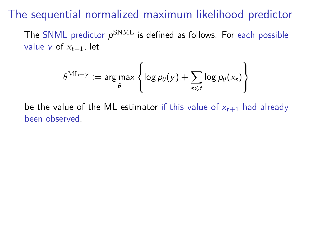The sequential normalized maximum likelihood predictor

The SNML predictor  $\rho^{\rm SMML}$  is defined as follows. For each possible value y of  $x_{t+1}$ , let

$$
\theta^{\text{ML}+y} := \argmax_{\theta} \left\{ \log p_{\theta}(y) + \sum_{s \leq t} \log p_{\theta}(x_s) \right\}
$$

be the value of the ML estimator if this value of  $x_{t+1}$  had already been observed.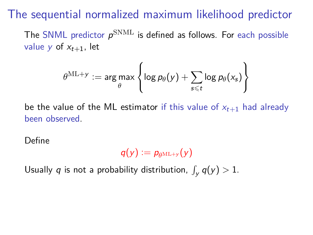The sequential normalized maximum likelihood predictor

The SNML predictor  $\rho^{\rm SMML}$  is defined as follows. For each possible value y of  $x_{t+1}$ , let

$$
\theta^{\text{ML}+y} := \argmax_{\theta} \left\{ \log p_{\theta}(y) + \sum_{s \leq t} \log p_{\theta}(x_s) \right\}
$$

be the value of the ML estimator if this value of  $x_{t+1}$  had already been observed.

Define

$$
q(y):=p_{\theta^{\text{ML}+y}}(y)
$$

Usually  $q$  is not a probability distribution,  $\int_y q(y) > 1$ .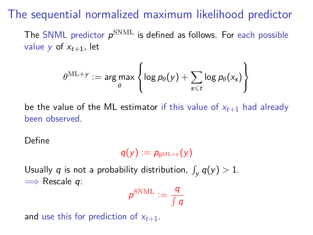The sequential normalized maximum likelihood predictor

The SNML predictor  $\rho^{\rm SMML}$  is defined as follows. For each possible value y of  $x_{t+1}$ , let

$$
\theta^{\text{ML}+y} := \argmax_{\theta} \left\{ \log p_{\theta}(y) + \sum_{s \leq t} \log p_{\theta}(x_s) \right\}
$$

be the value of the ML estimator if this value of  $x_{t+1}$  had already been observed.

Define

$$
q(y) := p_{\theta^{\text{ML}+y}}(y)
$$

Usually  $q$  is not a probability distribution,  $\int_y q(y) > 1$ .  $\implies$  Rescale q:

$$
p^{\text{SNML}} := \frac{q}{\int q}
$$

and use this for prediction of  $x_{t+1}$ .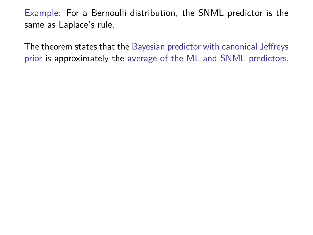The theorem states that the Bayesian predictor with canonical Jeffreys prior is approximately the average of the ML and SNML predictors.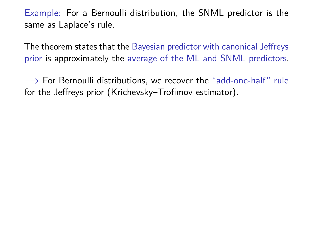The theorem states that the Bayesian predictor with canonical Jeffreys prior is approximately the average of the ML and SNML predictors.

 $\implies$  For Bernoulli distributions, we recover the "add-one-half" rule for the Jeffreys prior (Krichevsky–Trofimov estimator).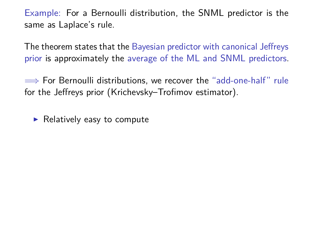The theorem states that the Bayesian predictor with canonical Jeffreys prior is approximately the average of the ML and SNML predictors.

 $\implies$  For Bernoulli distributions, we recover the "add-one-half" rule for the Jeffreys prior (Krichevsky–Trofimov estimator).

 $\blacktriangleright$  Relatively easy to compute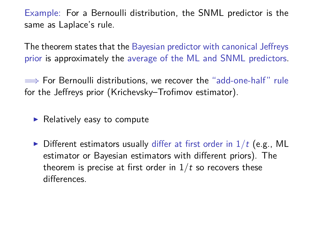The theorem states that the Bayesian predictor with canonical Jeffreys prior is approximately the average of the ML and SNML predictors.

 $\implies$  For Bernoulli distributions, we recover the "add-one-half" rule for the Jeffreys prior (Krichevsky–Trofimov estimator).

 $\blacktriangleright$  Relatively easy to compute

 $\triangleright$  Different estimators usually differ at first order in  $1/t$  (e.g., ML estimator or Bayesian estimators with different priors). The theorem is precise at first order in  $1/t$  so recovers these differences.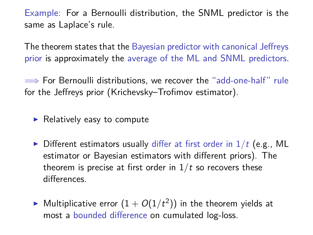The theorem states that the Bayesian predictor with canonical Jeffreys prior is approximately the average of the ML and SNML predictors.

 $\implies$  For Bernoulli distributions, we recover the "add-one-half" rule for the Jeffreys prior (Krichevsky–Trofimov estimator).

- $\blacktriangleright$  Relatively easy to compute
- $\triangleright$  Different estimators usually differ at first order in  $1/t$  (e.g., ML estimator or Bayesian estimators with different priors). The theorem is precise at first order in  $1/t$  so recovers these differences.
- $\blacktriangleright$  Multiplicative error  $(1+O(1/t^2))$  in the theorem yields at most a bounded difference on cumulated log-loss.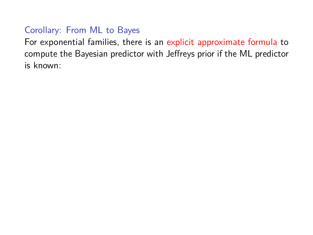#### Corollary: From ML to Bayes

For exponential families, there is an explicit approximate formula to compute the Bayesian predictor with Jeffreys prior if the ML predictor is known: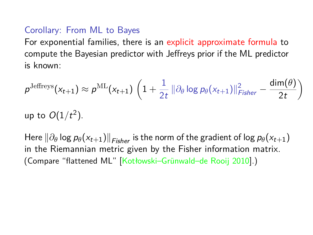#### Corollary: From ML to Bayes

For exponential families, there is an explicit approximate formula to compute the Bayesian predictor with Jeffreys prior if the ML predictor is known:

$$
p^{\text{Jeffreys}}(x_{t+1}) \approx p^{\text{ML}}(x_{t+1}) \left(1 + \frac{1}{2t} \|\partial_{\theta} \log p_{\theta}(x_{t+1})\|_{Fisher}^2 - \frac{\dim(\theta)}{2t}\right)
$$
  
up to  $O(1/t^2)$ .

Here  $\|\partial_\theta \log p_\theta(x_{t+1})\|_{Eisher}$  is the norm of the gradient of log  $p_\theta(x_{t+1})$ in the Riemannian metric given by the Fisher information matrix. (Compare "flattened ML" [Kotłowski–Grünwald–de Rooij 2010].)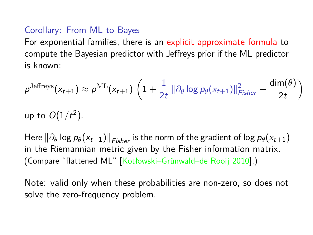#### Corollary: From ML to Bayes

For exponential families, there is an explicit approximate formula to compute the Bayesian predictor with Jeffreys prior if the ML predictor is known:

$$
p^{\text{Jeffreys}}(x_{t+1}) \approx p^{\text{ML}}(x_{t+1}) \left(1 + \frac{1}{2t} \|\partial_{\theta} \log p_{\theta}(x_{t+1})\|_{Fisher}^2 - \frac{\dim(\theta)}{2t}\right)
$$
  
up to  $O(1/t^2)$ .

Here  $\|\partial_\theta \log p_\theta(x_{t+1})\|_{Eisher}$  is the norm of the gradient of log  $p_\theta(x_{t+1})$ in the Riemannian metric given by the Fisher information matrix. (Compare "flattened ML" [Kotłowski–Grünwald–de Rooij 2010].)

Note: valid only when these probabilities are non-zero, so does not solve the zero-frequency problem.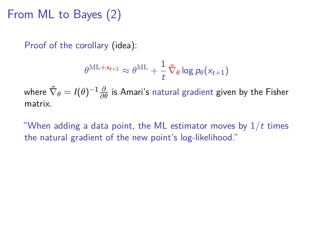# From ML to Bayes (2)

Proof of the corollary (idea):

$$
\theta^{\text{ML} + \mathsf{x}_{t+1}} \approx \theta^{\text{ML}} + \frac{1}{t} \, \tilde{\nabla}_{\theta} \log p_{\theta}(\mathsf{x}_{t+1})
$$

where  $\tilde{\nabla}_\theta = I(\theta)^{-1}\frac{\partial}{\partial \theta}$  is Amari's natural gradient given by the Fisher matrix.

"When adding a data point, the ML estimator moves by 1*/*t times the natural gradient of the new point's log-likelihood."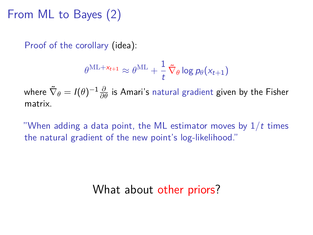# From ML to Bayes (2)

Proof of the corollary (idea):

$$
\theta^{\text{ML} + \mathsf{x}_{t+1}} \approx \theta^{\text{ML}} + \frac{1}{t} \, \tilde{\nabla}_{\theta} \log p_{\theta}(\mathsf{x}_{t+1})
$$

where  $\tilde{\nabla}_\theta = I(\theta)^{-1}\frac{\partial}{\partial \theta}$  is Amari's natural gradient given by the Fisher matrix.

"When adding a data point, the ML estimator moves by 1*/*t times the natural gradient of the new point's log-likelihood."

# What about other priors?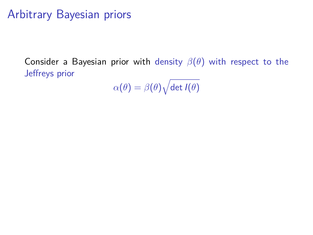# Arbitrary Bayesian priors

Consider a Bayesian prior with density  $\beta(\theta)$  with respect to the Jeffreys prior

 $\alpha(\theta) = \beta(\theta)\sqrt{\det I(\theta)}$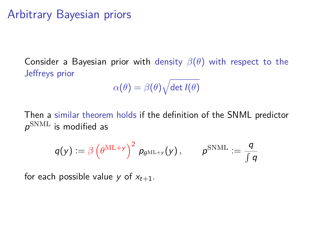# Arbitrary Bayesian priors

Consider a Bayesian prior with density  $\beta(\theta)$  with respect to the Jeffreys prior

$$
\alpha(\theta)=\beta(\theta)\sqrt{\det I(\theta)}
$$

Then a similar theorem holds if the definition of the SNML predictor  $\rho^{\rm SNML}$  is modified as

$$
q(\mathsf{y}) \mathrel{\mathop:}= \beta \left(\theta^{\mathrm{ML}+\mathsf{y}}\right)^2 \, p_{\theta^{\mathrm{ML}+\mathsf{y}}}( \mathsf{y}) \, , \qquad p^{\mathrm{SNML}} \mathrel{\mathop:}= \frac{q}{\int q}
$$

for each possible value y of  $x_{t+1}$ .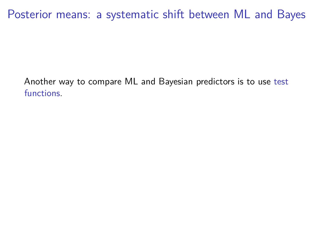Another way to compare ML and Bayesian predictors is to use test functions.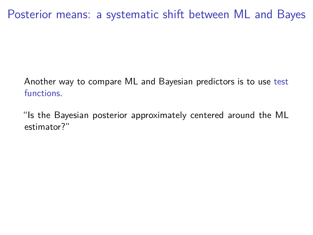Another way to compare ML and Bayesian predictors is to use test functions.

"Is the Bayesian posterior approximately centered around the ML estimator?"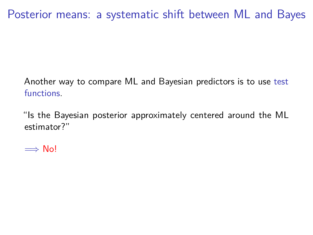Another way to compare ML and Bayesian predictors is to use test functions.

"Is the Bayesian posterior approximately centered around the ML estimator?"

 $\implies$  No!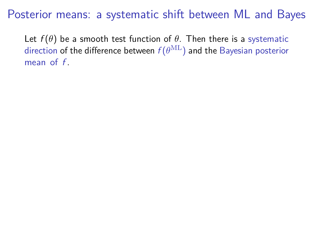Let  $f(\theta)$  be a smooth test function of  $\theta$ . Then there is a systematic direction of the difference between  $f(\theta^{\mathrm{ML}})$  and the Bayesian posterior mean of  $f$ .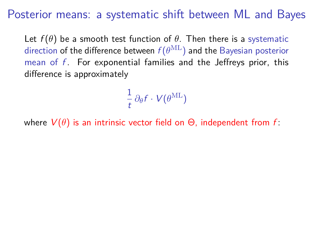Let  $f(\theta)$  be a smooth test function of  $\theta$ . Then there is a systematic direction of the difference between  $f(\theta^{\mathrm{ML}})$  and the Bayesian posterior mean of  $f$ . For exponential families and the Jeffreys prior, this difference is approximately

> 1  $\frac{1}{t} \partial_{\theta} f \cdot V(\theta^{\mathrm{ML}})$

where  $V(\theta)$  is an intrinsic vector field on  $\Theta$ , independent from f: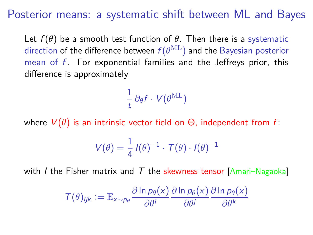Let  $f(\theta)$  be a smooth test function of  $\theta$ . Then there is a systematic direction of the difference between  $f(\theta^{\mathrm{ML}})$  and the Bayesian posterior mean of  $f$ . For exponential families and the Jeffreys prior, this difference is approximately

> 1  $\frac{1}{t} \partial_{\theta} f \cdot V(\theta^{\mathrm{ML}})$

where  $V(\theta)$  is an intrinsic vector field on  $\Theta$ , independent from f:

$$
V(\theta) = \frac{1}{4} I(\theta)^{-1} \cdot \mathcal{T}(\theta) \cdot I(\theta)^{-1}
$$

with *I* the Fisher matrix and  $T$  the skewness tensor [Amari–Nagaoka]

$$
\mathcal{T}(\theta)_{ijk} := \mathbb{E}_{x \sim p_{\theta}} \frac{\partial \ln p_{\theta}(x)}{\partial \theta^{i}} \frac{\partial \ln p_{\theta}(x)}{\partial \theta^{j}} \frac{\partial \ln p_{\theta}(x)}{\partial \theta^{k}}
$$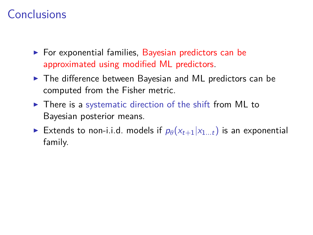# Conclusions

- $\blacktriangleright$  For exponential families, Bayesian predictors can be approximated using modified ML predictors.
- $\triangleright$  The difference between Bayesian and ML predictors can be computed from the Fisher metric.
- $\triangleright$  There is a systematic direction of the shift from ML to Bayesian posterior means.
- Extends to non-i.i.d. models if  $p_{\theta}(x_{t+1}|x_{1...t})$  is an exponential family.